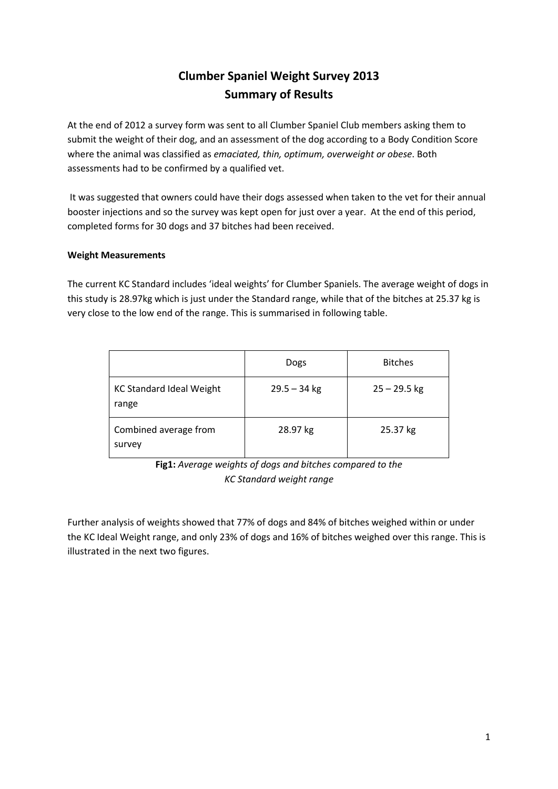## **Clumber Spaniel Weight Survey 2013 Summary of Results**

At the end of 2012 a survey form was sent to all Clumber Spaniel Club members asking them to submit the weight of their dog, and an assessment of the dog according to a Body Condition Score where the animal was classified as *emaciated, thin, optimum, overweight or obese*. Both assessments had to be confirmed by a qualified vet.

It was suggested that owners could have their dogs assessed when taken to the vet for their annual booster injections and so the survey was kept open for just over a year. At the end of this period, completed forms for 30 dogs and 37 bitches had been received.

## **Weight Measurements**

The current KC Standard includes 'ideal weights' for Clumber Spaniels. The average weight of dogs in this study is 28.97kg which is just under the Standard range, while that of the bitches at 25.37 kg is very close to the low end of the range. This is summarised in following table.

|                                          | Dogs           | <b>Bitches</b> |
|------------------------------------------|----------------|----------------|
| <b>KC Standard Ideal Weight</b><br>range | $29.5 - 34$ kg | $25 - 29.5$ kg |
| Combined average from<br>survey          | 28.97 kg       | 25.37 kg       |

**Fig1:** *Average weights of dogs and bitches compared to the KC Standard weight range*

Further analysis of weights showed that 77% of dogs and 84% of bitches weighed within or under the KC Ideal Weight range, and only 23% of dogs and 16% of bitches weighed over this range. This is illustrated in the next two figures.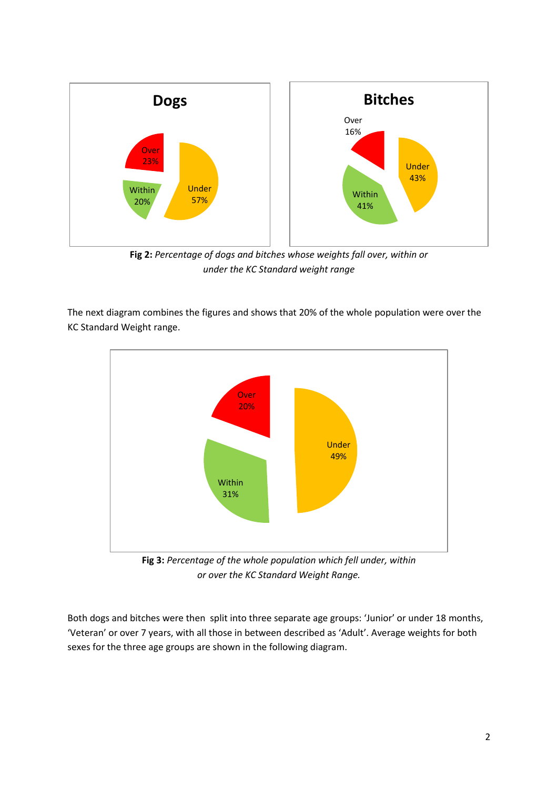

**Fig 2:** *Percentage of dogs and bitches whose weights fall over, within or under the KC Standard weight range*

The next diagram combines the figures and shows that 20% of the whole population were over the KC Standard Weight range.



**Fig 3:** *Percentage of the whole population which fell under, within or over the KC Standard Weight Range.*

Both dogs and bitches were then split into three separate age groups: 'Junior' or under 18 months, 'Veteran' or over 7 years, with all those in between described as 'Adult'. Average weights for both sexes for the three age groups are shown in the following diagram.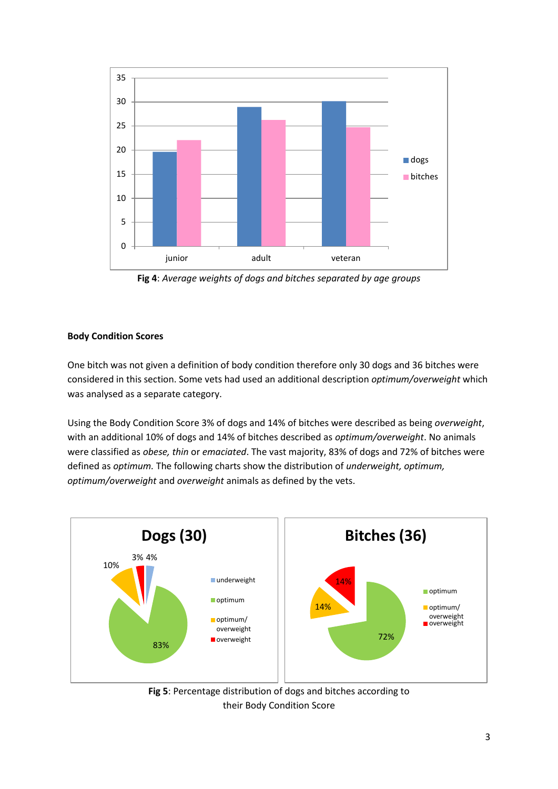

**Fig 4**: *Average weights of dogs and bitches separated by age groups*

## **Body Condition Scores**

One bitch was not given a definition of body condition therefore only 30 dogs and 36 bitches were considered in this section. Some vets had used an additional description *optimum/overweight* which was analysed as a separate category.

Using the Body Condition Score 3% of dogs and 14% of bitches were described as being *overweight*, with an additional 10% of dogs and 14% of bitches described as *optimum/overweight*. No animals were classified as *obese, thin* or *emaciated*. The vast majority, 83% of dogs and 72% of bitches were defined as *optimum.* The following charts show the distribution of *underweight, optimum, optimum/overweight* and *overweight* animals as defined by the vets.



**Fig 5**: Percentage distribution of dogs and bitches according to their Body Condition Score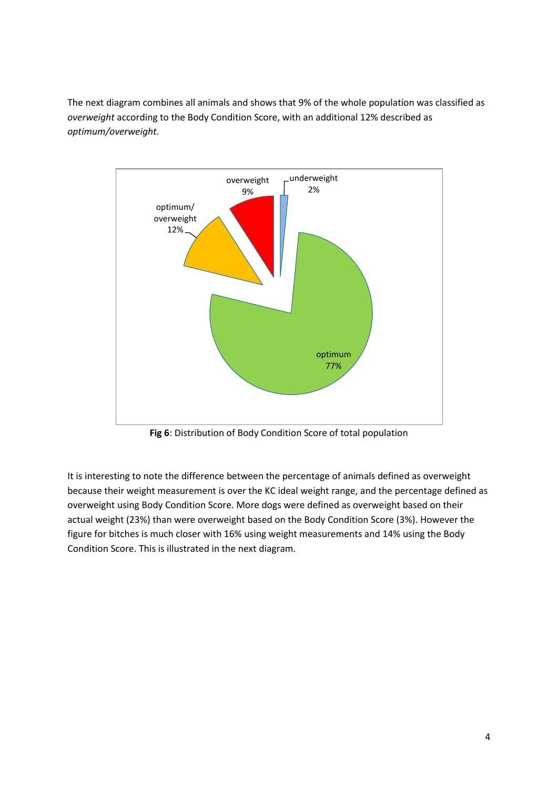The next diagram combines all animals and shows that 9% of the whole population was classified as *overweight* according to the Body Condition Score, with an additional 12% described as *optimum/overweight.*



**Fig 6**: Distribution of Body Condition Score of total population

It is interesting to note the difference between the percentage of animals defined as overweight because their weight measurement is over the KC ideal weight range, and the percentage defined as overweight using Body Condition Score. More dogs were defined as overweight based on their actual weight (23%) than were overweight based on the Body Condition Score (3%). However the figure for bitches is much closer with 16% using weight measurements and 14% using the Body Condition Score. This is illustrated in the next diagram.